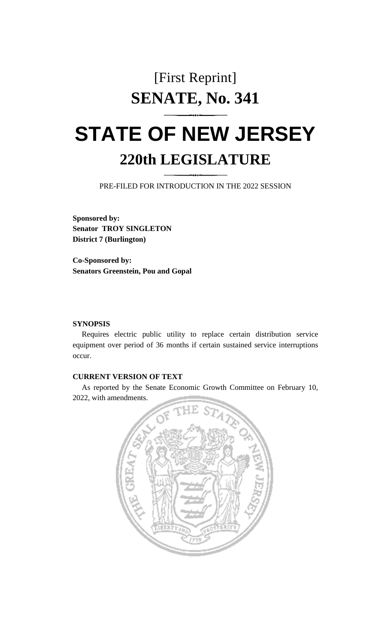# [First Reprint] **SENATE, No. 341**

# **STATE OF NEW JERSEY 220th LEGISLATURE**

PRE-FILED FOR INTRODUCTION IN THE 2022 SESSION

**Sponsored by: Senator TROY SINGLETON District 7 (Burlington)**

**Co-Sponsored by: Senators Greenstein, Pou and Gopal**

#### **SYNOPSIS**

Requires electric public utility to replace certain distribution service equipment over period of 36 months if certain sustained service interruptions occur.

## **CURRENT VERSION OF TEXT**

As reported by the Senate Economic Growth Committee on February 10, 2022, with amendments.

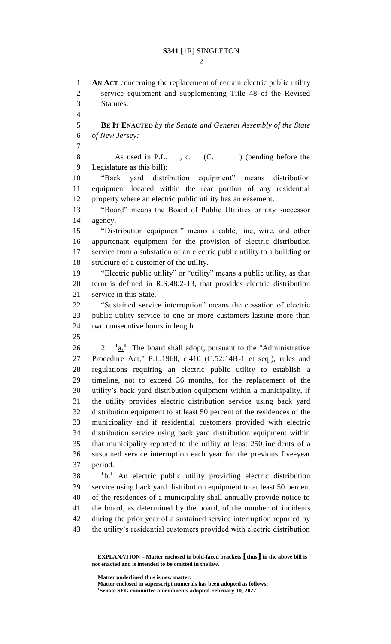**AN ACT** concerning the replacement of certain electric public utility service equipment and supplementing Title 48 of the Revised Statutes. **BE IT ENACTED** *by the Senate and General Assembly of the State of New Jersey:* 8 1. As used in P.L., c. (C. ) (pending before the Legislature as this bill): "Back yard distribution equipment" means distribution equipment located within the rear portion of any residential property where an electric public utility has an easement. "Board" means the Board of Public Utilities or any successor agency. "Distribution equipment" means a cable, line, wire, and other appurtenant equipment for the provision of electric distribution service from a substation of an electric public utility to a building or structure of a customer of the utility. "Electric public utility" or "utility" means a public utility, as that term is defined in R.S.48:2-13, that provides electric distribution service in this State. "Sustained service interruption" means the cessation of electric public utility service to one or more customers lasting more than two consecutive hours in length. 2. **<sup>1</sup>**  $\frac{1}{2}$ .  $\frac{1}{2}$  The board shall adopt, pursuant to the "Administrative" Procedure Act," P.L.1968, c.410 (C.52:14B-1 et seq.), rules and regulations requiring an electric public utility to establish a timeline, not to exceed 36 months, for the replacement of the utility's back yard distribution equipment within a municipality, if the utility provides electric distribution service using back yard distribution equipment to at least 50 percent of the residences of the municipality and if residential customers provided with electric distribution service using back yard distribution equipment within that municipality reported to the utility at least 250 incidents of a sustained service interruption each year for the previous five-year period.  $10 \cdot \frac{1}{2}$  An electric public utility providing electric distribution service using back yard distribution equipment to at least 50 percent of the residences of a municipality shall annually provide notice to the board, as determined by the board, of the number of incidents during the prior year of a sustained service interruption reported by

the utility's residential customers provided with electric distribution

**Matter underlined thus is new matter.**

**EXPLANATION – Matter enclosed in bold-faced brackets [thus] in the above bill is not enacted and is intended to be omitted in the law.**

**Matter enclosed in superscript numerals has been adopted as follows: Senate SEG committee amendments adopted February 10, 2022.**